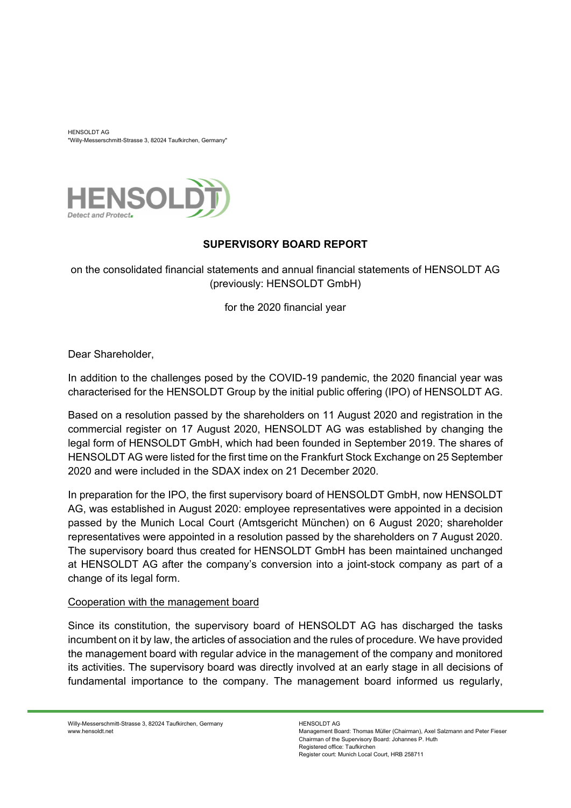HENSOLDT AG "Willy-Messerschmitt-Strasse 3, 82024 Taufkirchen, Germany"



# **SUPERVISORY BOARD REPORT**

on the consolidated financial statements and annual financial statements of HENSOLDT AG (previously: HENSOLDT GmbH)

for the 2020 financial year

Dear Shareholder,

In addition to the challenges posed by the COVID-19 pandemic, the 2020 financial year was characterised for the HENSOLDT Group by the initial public offering (IPO) of HENSOLDT AG.

Based on a resolution passed by the shareholders on 11 August 2020 and registration in the commercial register on 17 August 2020, HENSOLDT AG was established by changing the legal form of HENSOLDT GmbH, which had been founded in September 2019. The shares of HENSOLDT AG were listed for the first time on the Frankfurt Stock Exchange on 25 September 2020 and were included in the SDAX index on 21 December 2020.

In preparation for the IPO, the first supervisory board of HENSOLDT GmbH, now HENSOLDT AG, was established in August 2020: employee representatives were appointed in a decision passed by the Munich Local Court (Amtsgericht München) on 6 August 2020; shareholder representatives were appointed in a resolution passed by the shareholders on 7 August 2020. The supervisory board thus created for HENSOLDT GmbH has been maintained unchanged at HENSOLDT AG after the company's conversion into a joint-stock company as part of a change of its legal form.

# Cooperation with the management board

Since its constitution, the supervisory board of HENSOLDT AG has discharged the tasks incumbent on it by law, the articles of association and the rules of procedure. We have provided the management board with regular advice in the management of the company and monitored its activities. The supervisory board was directly involved at an early stage in all decisions of fundamental importance to the company. The management board informed us regularly,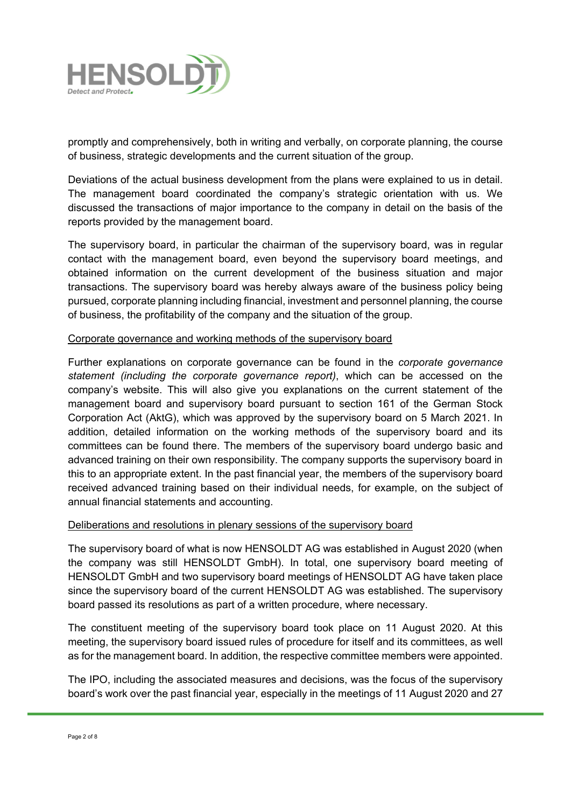

promptly and comprehensively, both in writing and verbally, on corporate planning, the course of business, strategic developments and the current situation of the group.

Deviations of the actual business development from the plans were explained to us in detail. The management board coordinated the company's strategic orientation with us. We discussed the transactions of major importance to the company in detail on the basis of the reports provided by the management board.

The supervisory board, in particular the chairman of the supervisory board, was in regular contact with the management board, even beyond the supervisory board meetings, and obtained information on the current development of the business situation and major transactions. The supervisory board was hereby always aware of the business policy being pursued, corporate planning including financial, investment and personnel planning, the course of business, the profitability of the company and the situation of the group.

#### Corporate governance and working methods of the supervisory board

Further explanations on corporate governance can be found in the *corporate governance statement (including the corporate governance report)*, which can be accessed on the company's website. This will also give you explanations on the current statement of the management board and supervisory board pursuant to section 161 of the German Stock Corporation Act (AktG), which was approved by the supervisory board on 5 March 2021. In addition, detailed information on the working methods of the supervisory board and its committees can be found there. The members of the supervisory board undergo basic and advanced training on their own responsibility. The company supports the supervisory board in this to an appropriate extent. In the past financial year, the members of the supervisory board received advanced training based on their individual needs, for example, on the subject of annual financial statements and accounting.

# Deliberations and resolutions in plenary sessions of the supervisory board

The supervisory board of what is now HENSOLDT AG was established in August 2020 (when the company was still HENSOLDT GmbH). In total, one supervisory board meeting of HENSOLDT GmbH and two supervisory board meetings of HENSOLDT AG have taken place since the supervisory board of the current HENSOLDT AG was established. The supervisory board passed its resolutions as part of a written procedure, where necessary.

The constituent meeting of the supervisory board took place on 11 August 2020. At this meeting, the supervisory board issued rules of procedure for itself and its committees, as well as for the management board. In addition, the respective committee members were appointed.

The IPO, including the associated measures and decisions, was the focus of the supervisory board's work over the past financial year, especially in the meetings of 11 August 2020 and 27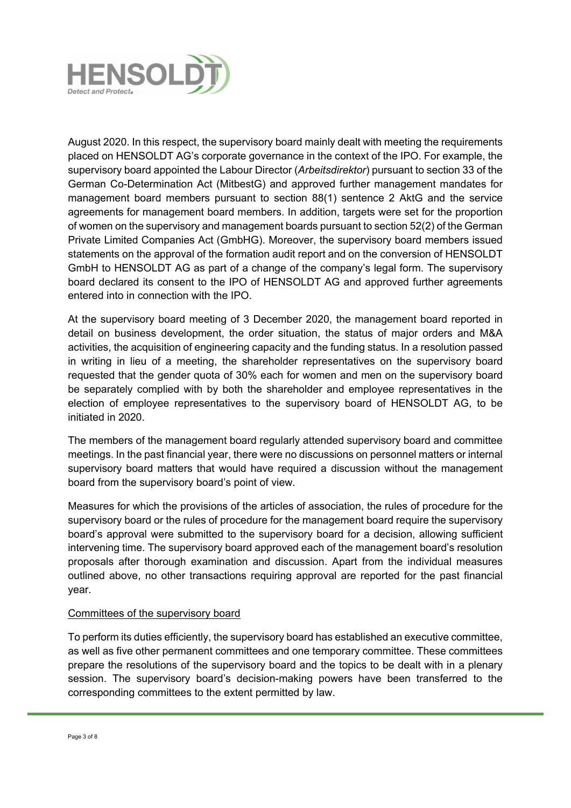

August 2020. In this respect, the supervisory board mainly dealt with meeting the requirements placed on HENSOLDT AG's corporate governance in the context of the IPO. For example, the supervisory board appointed the Labour Director (*Arbeitsdirektor*) pursuant to section 33 of the German Co-Determination Act (MitbestG) and approved further management mandates for management board members pursuant to section 88(1) sentence 2 AktG and the service agreements for management board members. In addition, targets were set for the proportion of women on the supervisory and management boards pursuant to section 52(2) of the German Private Limited Companies Act (GmbHG). Moreover, the supervisory board members issued statements on the approval of the formation audit report and on the conversion of HENSOLDT GmbH to HENSOLDT AG as part of a change of the company's legal form. The supervisory board declared its consent to the IPO of HENSOLDT AG and approved further agreements entered into in connection with the IPO.

At the supervisory board meeting of 3 December 2020, the management board reported in detail on business development, the order situation, the status of major orders and M&A activities, the acquisition of engineering capacity and the funding status. In a resolution passed in writing in lieu of a meeting, the shareholder representatives on the supervisory board requested that the gender quota of 30% each for women and men on the supervisory board be separately complied with by both the shareholder and employee representatives in the election of employee representatives to the supervisory board of HENSOLDT AG, to be initiated in 2020.

The members of the management board regularly attended supervisory board and committee meetings. In the past financial year, there were no discussions on personnel matters or internal supervisory board matters that would have required a discussion without the management board from the supervisory board's point of view.

Measures for which the provisions of the articles of association, the rules of procedure for the supervisory board or the rules of procedure for the management board require the supervisory board's approval were submitted to the supervisory board for a decision, allowing sufficient intervening time. The supervisory board approved each of the management board's resolution proposals after thorough examination and discussion. Apart from the individual measures outlined above, no other transactions requiring approval are reported for the past financial year.

# Committees of the supervisory board

To perform its duties efficiently, the supervisory board has established an executive committee, as well as five other permanent committees and one temporary committee. These committees prepare the resolutions of the supervisory board and the topics to be dealt with in a plenary session. The supervisory board's decision-making powers have been transferred to the corresponding committees to the extent permitted by law.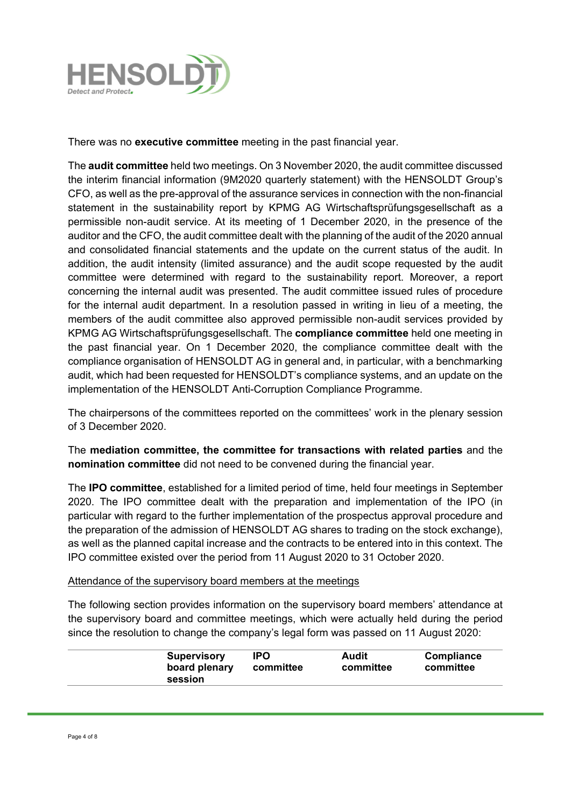

There was no **executive committee** meeting in the past financial year.

The **audit committee** held two meetings. On 3 November 2020, the audit committee discussed the interim financial information (9M2020 quarterly statement) with the HENSOLDT Group's CFO, as well as the pre-approval of the assurance services in connection with the non-financial statement in the sustainability report by KPMG AG Wirtschaftsprüfungsgesellschaft as a permissible non-audit service. At its meeting of 1 December 2020, in the presence of the auditor and the CFO, the audit committee dealt with the planning of the audit of the 2020 annual and consolidated financial statements and the update on the current status of the audit. In addition, the audit intensity (limited assurance) and the audit scope requested by the audit committee were determined with regard to the sustainability report. Moreover, a report concerning the internal audit was presented. The audit committee issued rules of procedure for the internal audit department. In a resolution passed in writing in lieu of a meeting, the members of the audit committee also approved permissible non-audit services provided by KPMG AG Wirtschaftsprüfungsgesellschaft. The **compliance committee** held one meeting in the past financial year. On 1 December 2020, the compliance committee dealt with the compliance organisation of HENSOLDT AG in general and, in particular, with a benchmarking audit, which had been requested for HENSOLDT's compliance systems, and an update on the implementation of the HENSOLDT Anti-Corruption Compliance Programme.

The chairpersons of the committees reported on the committees' work in the plenary session of 3 December 2020.

The **mediation committee, the committee for transactions with related parties** and the **nomination committee** did not need to be convened during the financial year.

The **IPO committee**, established for a limited period of time, held four meetings in September 2020. The IPO committee dealt with the preparation and implementation of the IPO (in particular with regard to the further implementation of the prospectus approval procedure and the preparation of the admission of HENSOLDT AG shares to trading on the stock exchange), as well as the planned capital increase and the contracts to be entered into in this context. The IPO committee existed over the period from 11 August 2020 to 31 October 2020.

# Attendance of the supervisory board members at the meetings

The following section provides information on the supervisory board members' attendance at the supervisory board and committee meetings, which were actually held during the period since the resolution to change the company's legal form was passed on 11 August 2020:

|--|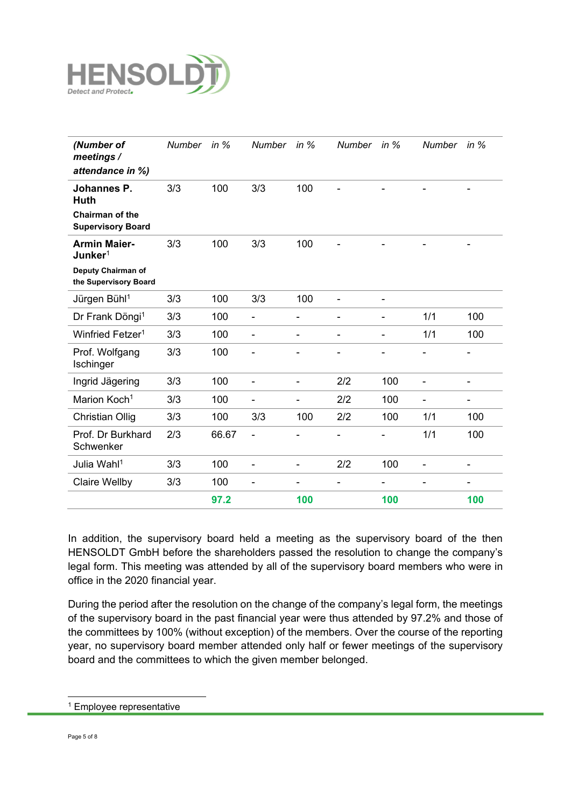

| (Number of<br>meetings /<br>attendance in %)       | <b>Number</b> | in $%$ | <b>Number</b>            | in $%$                   | <b>Number</b>            | in $%$                   | Number in %              |                |
|----------------------------------------------------|---------------|--------|--------------------------|--------------------------|--------------------------|--------------------------|--------------------------|----------------|
| Johannes P.<br>Huth                                | 3/3           | 100    | 3/3                      | 100                      |                          |                          |                          |                |
| <b>Chairman of the</b><br><b>Supervisory Board</b> |               |        |                          |                          |                          |                          |                          |                |
| <b>Armin Maier-</b><br>Junker <sup>1</sup>         | 3/3           | 100    | 3/3                      | 100                      |                          |                          |                          |                |
| Deputy Chairman of<br>the Supervisory Board        |               |        |                          |                          |                          |                          |                          |                |
| Jürgen Bühl <sup>1</sup>                           | 3/3           | 100    | 3/3                      | 100                      | $\overline{\phantom{0}}$ | $\overline{\phantom{0}}$ |                          |                |
| Dr Frank Döngi <sup>1</sup>                        | 3/3           | 100    | $\blacksquare$           | $\overline{\phantom{0}}$ | -                        | $\overline{\phantom{0}}$ | 1/1                      | 100            |
| Winfried Fetzer <sup>1</sup>                       | 3/3           | 100    | -                        | $\overline{\phantom{0}}$ | -                        | $\overline{\phantom{0}}$ | 1/1                      | 100            |
| Prof. Wolfgang<br>Ischinger                        | 3/3           | 100    |                          |                          |                          |                          |                          |                |
| Ingrid Jägering                                    | 3/3           | 100    |                          | $\overline{a}$           | 2/2                      | 100                      | $\overline{a}$           |                |
| Marion Koch <sup>1</sup>                           | 3/3           | 100    | $\overline{\phantom{0}}$ | $\overline{a}$           | 2/2                      | 100                      | $\overline{\phantom{0}}$ | $\blacksquare$ |
| <b>Christian Ollig</b>                             | 3/3           | 100    | 3/3                      | 100                      | 2/2                      | 100                      | 1/1                      | 100            |
| Prof. Dr Burkhard<br>Schwenker                     | 2/3           | 66.67  |                          |                          | -                        |                          | 1/1                      | 100            |
| Julia Wahl <sup>1</sup>                            | 3/3           | 100    | $\overline{\phantom{0}}$ | $\overline{\phantom{0}}$ | 2/2                      | 100                      | $\overline{\phantom{0}}$ | -              |
| <b>Claire Wellby</b>                               | 3/3           | 100    | $\overline{\phantom{0}}$ | $\overline{a}$           | -                        |                          |                          |                |
|                                                    |               | 97.2   |                          | 100                      |                          | 100                      |                          | 100            |

In addition, the supervisory board held a meeting as the supervisory board of the then HENSOLDT GmbH before the shareholders passed the resolution to change the company's legal form. This meeting was attended by all of the supervisory board members who were in office in the 2020 financial year.

During the period after the resolution on the change of the company's legal form, the meetings of the supervisory board in the past financial year were thus attended by 97.2% and those of the committees by 100% (without exception) of the members. Over the course of the reporting year, no supervisory board member attended only half or fewer meetings of the supervisory board and the committees to which the given member belonged.

<sup>&</sup>lt;sup>1</sup> Employee representative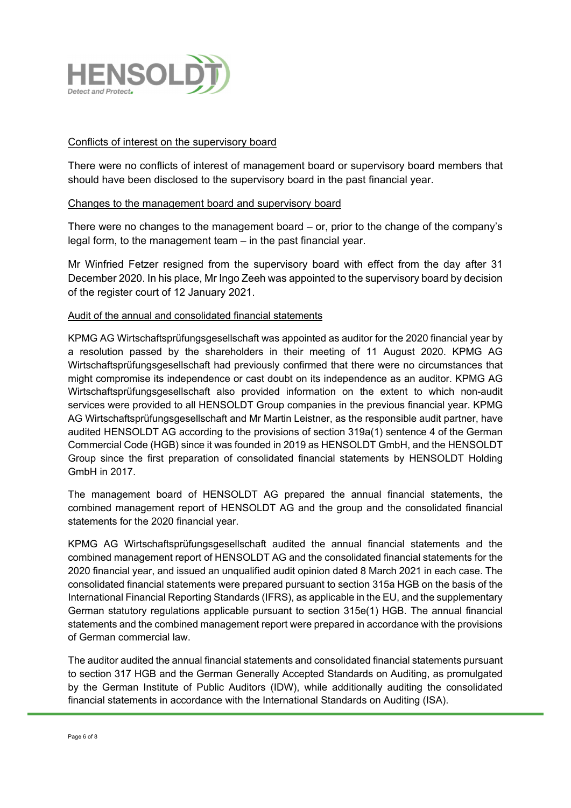

### Conflicts of interest on the supervisory board

There were no conflicts of interest of management board or supervisory board members that should have been disclosed to the supervisory board in the past financial year.

#### Changes to the management board and supervisory board

There were no changes to the management board – or, prior to the change of the company's legal form, to the management team – in the past financial year.

Mr Winfried Fetzer resigned from the supervisory board with effect from the day after 31 December 2020. In his place, Mr Ingo Zeeh was appointed to the supervisory board by decision of the register court of 12 January 2021.

# Audit of the annual and consolidated financial statements

KPMG AG Wirtschaftsprüfungsgesellschaft was appointed as auditor for the 2020 financial year by a resolution passed by the shareholders in their meeting of 11 August 2020. KPMG AG Wirtschaftsprüfungsgesellschaft had previously confirmed that there were no circumstances that might compromise its independence or cast doubt on its independence as an auditor. KPMG AG Wirtschaftsprüfungsgesellschaft also provided information on the extent to which non-audit services were provided to all HENSOLDT Group companies in the previous financial year. KPMG AG Wirtschaftsprüfungsgesellschaft and Mr Martin Leistner, as the responsible audit partner, have audited HENSOLDT AG according to the provisions of section 319a(1) sentence 4 of the German Commercial Code (HGB) since it was founded in 2019 as HENSOLDT GmbH, and the HENSOLDT Group since the first preparation of consolidated financial statements by HENSOLDT Holding GmbH in 2017.

The management board of HENSOLDT AG prepared the annual financial statements, the combined management report of HENSOLDT AG and the group and the consolidated financial statements for the 2020 financial year.

KPMG AG Wirtschaftsprüfungsgesellschaft audited the annual financial statements and the combined management report of HENSOLDT AG and the consolidated financial statements for the 2020 financial year, and issued an unqualified audit opinion dated 8 March 2021 in each case. The consolidated financial statements were prepared pursuant to section 315a HGB on the basis of the International Financial Reporting Standards (IFRS), as applicable in the EU, and the supplementary German statutory regulations applicable pursuant to section 315e(1) HGB. The annual financial statements and the combined management report were prepared in accordance with the provisions of German commercial law.

The auditor audited the annual financial statements and consolidated financial statements pursuant to section 317 HGB and the German Generally Accepted Standards on Auditing, as promulgated by the German Institute of Public Auditors (IDW), while additionally auditing the consolidated financial statements in accordance with the International Standards on Auditing (ISA).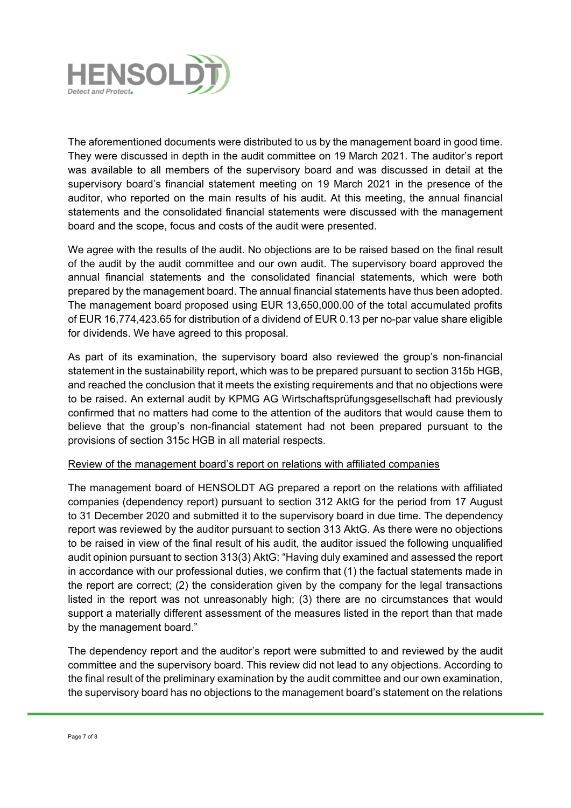

The aforementioned documents were distributed to us by the management board in good time. They were discussed in depth in the audit committee on 19 March 2021. The auditor's report was available to all members of the supervisory board and was discussed in detail at the supervisory board's financial statement meeting on 19 March 2021 in the presence of the auditor, who reported on the main results of his audit. At this meeting, the annual financial statements and the consolidated financial statements were discussed with the management board and the scope, focus and costs of the audit were presented.

We agree with the results of the audit. No objections are to be raised based on the final result of the audit by the audit committee and our own audit. The supervisory board approved the annual financial statements and the consolidated financial statements, which were both prepared by the management board. The annual financial statements have thus been adopted. The management board proposed using EUR 13,650,000.00 of the total accumulated profits of EUR 16,774,423.65 for distribution of a dividend of EUR 0.13 per no-par value share eligible for dividends. We have agreed to this proposal.

As part of its examination, the supervisory board also reviewed the group's non-financial statement in the sustainability report, which was to be prepared pursuant to section 315b HGB, and reached the conclusion that it meets the existing requirements and that no objections were to be raised. An external audit by KPMG AG Wirtschaftsprüfungsgesellschaft had previously confirmed that no matters had come to the attention of the auditors that would cause them to believe that the group's non-financial statement had not been prepared pursuant to the provisions of section 315c HGB in all material respects.

#### Review of the management board's report on relations with affiliated companies

The management board of HENSOLDT AG prepared a report on the relations with affiliated companies (dependency report) pursuant to section 312 AktG for the period from 17 August to 31 December 2020 and submitted it to the supervisory board in due time. The dependency report was reviewed by the auditor pursuant to section 313 AktG. As there were no objections to be raised in view of the final result of his audit, the auditor issued the following unqualified audit opinion pursuant to section 313(3) AktG: "Having duly examined and assessed the report in accordance with our professional duties, we confirm that (1) the factual statements made in the report are correct; (2) the consideration given by the company for the legal transactions listed in the report was not unreasonably high; (3) there are no circumstances that would support a materially different assessment of the measures listed in the report than that made by the management board."

The dependency report and the auditor's report were submitted to and reviewed by the audit committee and the supervisory board. This review did not lead to any objections. According to the final result of the preliminary examination by the audit committee and our own examination, the supervisory board has no objections to the management board's statement on the relations